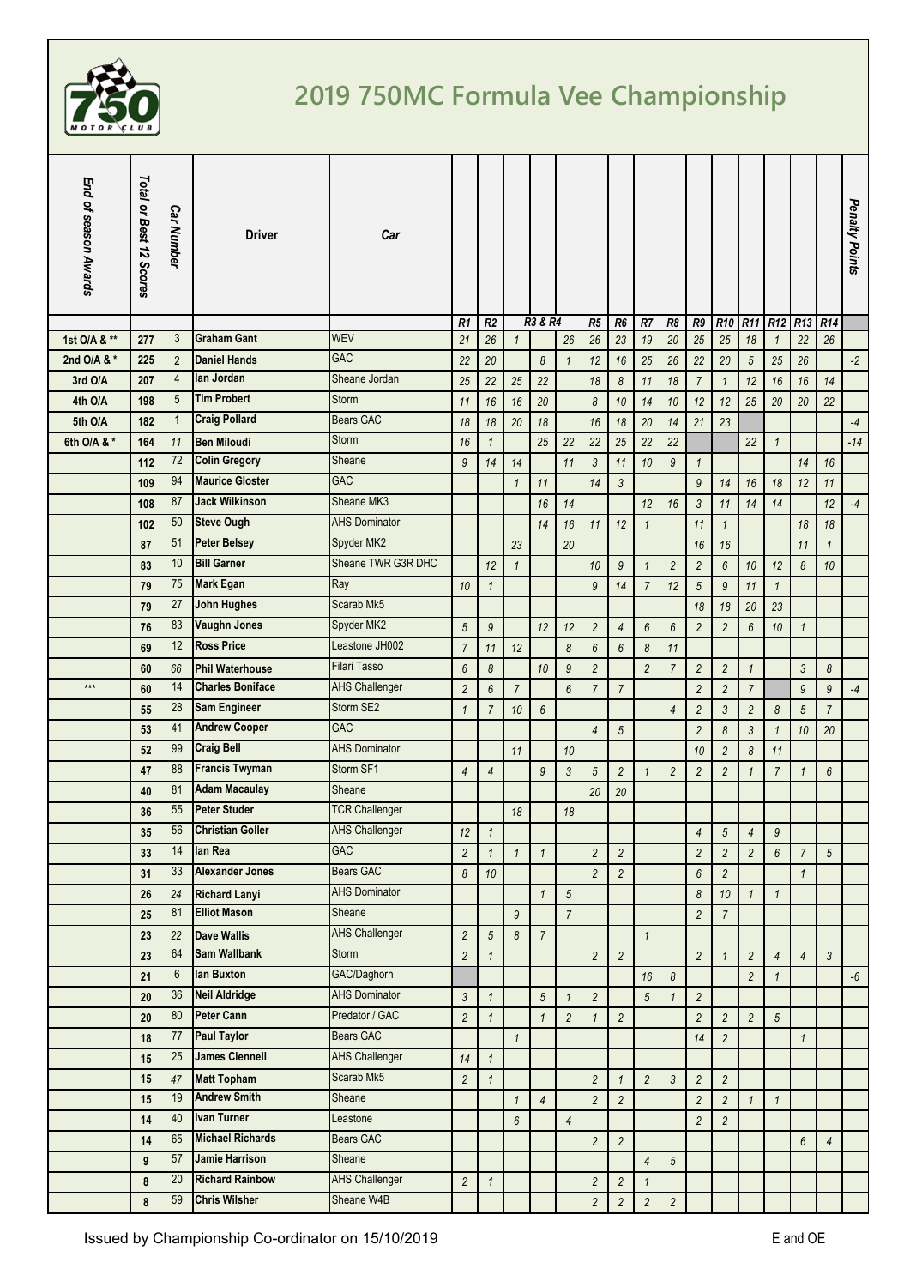

## **2019 750MC Formula Vee Championship**

| End of season Awards | Total or Best 12 Scores | <b>Car Number</b> | <b>Driver</b>           | Car                   |                       |                       |                       |                  |                       |                         |                       |                |                       |                  |                                 |                  |                       |                |                 | Penalty Points |
|----------------------|-------------------------|-------------------|-------------------------|-----------------------|-----------------------|-----------------------|-----------------------|------------------|-----------------------|-------------------------|-----------------------|----------------|-----------------------|------------------|---------------------------------|------------------|-----------------------|----------------|-----------------|----------------|
|                      |                         |                   |                         |                       | R1                    | R <sub>2</sub>        |                       | R3 & R4          |                       | R5                      | R <sub>6</sub>        | R7             | R8                    | R9               | R <sub>10</sub> R <sub>11</sub> |                  | R <sub>12</sub>       | R13            | R <sub>14</sub> |                |
| 1st O/A & **         | 277                     | 3                 | <b>Graham Gant</b>      | <b>WEV</b>            | 21                    | 26                    | $\mathbf{1}$          |                  | 26                    | 26                      | 23                    | 19             | 20                    | 25               | 25                              | 18               | $\mathbf{1}$          | 22             | 26              |                |
| 2nd O/A & *          | 225                     | $\overline{2}$    | <b>Daniel Hands</b>     | <b>GAC</b>            | 22                    | 20                    |                       | 8                | $\mathbf{1}$          | 12                      | 16                    | 25             | 26                    | 22               | 20                              | $5\,$            | 25                    | 26             |                 | $-2$           |
| 3rd O/A              | 207                     | $\overline{4}$    | lan Jordan              | Sheane Jordan         | 25                    | 22                    | 25                    | 22               |                       | 18                      | $\boldsymbol{\delta}$ | 11             | 18                    | $\overline{7}$   | $\mathbf{1}$                    | 12               | 16                    | 16             | 14              |                |
| 4th O/A              | 198                     | 5                 | <b>Tim Probert</b>      | <b>Storm</b>          | 11                    | 16                    | 16                    | 20               |                       | 8                       | 10                    | 14             | 10                    | 12               | 12                              | 25               | 20                    | 20             | 22              |                |
| 5th O/A              | 182                     | $\mathbf{1}$      | <b>Craig Pollard</b>    | <b>Bears GAC</b>      | 18                    | 18                    | $20\,$                | 18               |                       | 16                      | 18                    | 20             | 14                    | 21               | 23                              |                  |                       |                |                 | $-4$           |
| 6th O/A & *          | 164                     | 11                | <b>Ben Miloudi</b>      | Storm                 | 16                    | $\mathbf{1}$          |                       | 25               | 22                    | 22                      | 25                    | 22             | 22                    |                  |                                 | 22               | $\mathbf{1}$          |                |                 | $-14$          |
|                      | 112                     | 72                | <b>Colin Gregory</b>    | Sheane                | 9                     | 14                    | 14                    |                  | 11                    | $\mathfrak{Z}$          | 11                    | 10             | $\overline{9}$        | $\mathbf{1}$     |                                 |                  |                       | 14             | 16              |                |
|                      | 109                     | 94                | <b>Maurice Gloster</b>  | <b>GAC</b>            |                       |                       | $\mathbf{1}$          | 11               |                       | 14                      | $\mathfrak{Z}$        |                |                       | $\overline{9}$   | 14                              | 16               | 18                    | 12             | 11              |                |
|                      | 108                     | 87                | <b>Jack Wilkinson</b>   | Sheane MK3            |                       |                       |                       | 16               | 14                    |                         |                       | 12             | 16                    | $\mathfrak{Z}$   | 11                              | 14               | 14                    |                | 12              | $-4$           |
|                      | 102                     | 50                | <b>Steve Ough</b>       | <b>AHS Dominator</b>  |                       |                       |                       | 14               | 16                    | 11                      | 12                    | $\mathbf{1}$   |                       | 11               | $\mathbf{1}$                    |                  |                       | 18             | 18              |                |
|                      | 87                      | 51                | <b>Peter Belsey</b>     | Spyder MK2            |                       |                       | 23                    |                  | 20                    |                         |                       |                |                       | 16               | 16                              |                  |                       | 11             | $\mathbf{1}$    |                |
|                      | 83                      | 10                | <b>Bill Garner</b>      | Sheane TWR G3R DHC    |                       | 12                    | $\mathbf{1}$          |                  |                       | 10                      | $\overline{9}$        | $\mathbf{1}$   | $\overline{c}$        | $\overline{2}$   | $6\,$                           | 10               | 12                    | 8              | 10              |                |
|                      | 79                      | 75                | <b>Mark Egan</b>        | Ray                   | 10                    | $\mathbf{1}$          |                       |                  |                       | $\mathfrak{g}$          | 14                    | $\overline{7}$ | 12                    | $\sqrt{5}$       | 9                               | 11               | $\mathbf{1}$          |                |                 |                |
|                      | 79                      | 27                | <b>John Hughes</b>      | Scarab Mk5            |                       |                       |                       |                  |                       |                         |                       |                |                       | 18               | 18                              | 20               | 23                    |                |                 |                |
|                      | 76                      | 83                | <b>Vaughn Jones</b>     | Spyder MK2            | $\sqrt{5}$            | $\boldsymbol{9}$      |                       | 12               | 12                    |                         | $\overline{4}$        |                |                       | $\overline{c}$   |                                 | 6                | 10                    |                |                 |                |
|                      |                         | 12                | <b>Ross Price</b>       | Leastone JH002        |                       |                       |                       |                  |                       | $\overline{c}$          |                       | 6              | $6\phantom{.0}$       |                  | $\overline{2}$                  |                  |                       | $\mathbf{1}$   |                 |                |
|                      | 69                      |                   |                         | <b>Filari Tasso</b>   | $\overline{7}$        | 11                    | 12                    |                  | $\boldsymbol{\delta}$ | 6                       | $6\phantom{.0}$       | $\delta$       | 11                    |                  |                                 |                  |                       |                |                 |                |
| $***$                | 60                      | 66                | <b>Phil Waterhouse</b>  |                       | 6                     | $\boldsymbol{\delta}$ |                       | 10               | $\boldsymbol{9}$      | $\overline{c}$          |                       | $\overline{c}$ | $\overline{7}$        | $\overline{c}$   | $\overline{c}$                  | $\mathbf{1}$     |                       | 3              | 8               |                |
|                      | 60                      | 14                | <b>Charles Boniface</b> | <b>AHS Challenger</b> | $\overline{c}$        | $6\phantom{.}6$       | $\overline{7}$        |                  | $6\overline{6}$       | $\overline{7}$          | $\overline{7}$        |                |                       | $\overline{c}$   | $\overline{2}$                  | $\boldsymbol{7}$ |                       | $\mathfrak{g}$ | $\mathfrak g$   | $-4$           |
|                      | 55                      | 28                | <b>Sam Engineer</b>     | Storm SE2             | $\mathbf{1}$          | $\overline{7}$        | 10                    | $\boldsymbol{6}$ |                       |                         |                       |                | $\overline{4}$        | $\overline{2}$   | $\mathfrak{Z}$                  | $\overline{c}$   | $\boldsymbol{\delta}$ | 5              | $\overline{7}$  |                |
|                      | 53                      | 41                | <b>Andrew Cooper</b>    | <b>GAC</b>            |                       |                       |                       |                  |                       | $\overline{4}$          | $\sqrt{5}$            |                |                       | $\overline{c}$   | $\boldsymbol{\delta}$           | 3                | $\mathbf{1}$          | 10             | 20              |                |
|                      | 52                      | 99                | <b>Craig Bell</b>       | <b>AHS Dominator</b>  |                       |                       | 11                    |                  | 10                    |                         |                       |                |                       | 10               | $\overline{2}$                  | 8                | 11                    |                |                 |                |
|                      | 47                      | 88                | <b>Francis Twyman</b>   | Storm SF1             | $\overline{4}$        | $\overline{4}$        |                       | $\boldsymbol{9}$ | $\mathfrak{Z}$        | $\sqrt{5}$              | $\overline{c}$        | $\mathbf{1}$   | $\overline{c}$        | $\overline{c}$   | $\overline{2}$                  | 1                | $\overline{7}$        | $\mathbf{1}$   | $6\phantom{.0}$ |                |
|                      | 40                      | 81                | <b>Adam Macaulay</b>    | Sheane                |                       |                       |                       |                  |                       | 20                      | 20                    |                |                       |                  |                                 |                  |                       |                |                 |                |
|                      | 36                      | 55                | <b>Peter Studer</b>     | <b>TCR Challenger</b> |                       |                       | 18                    |                  | 18                    |                         |                       |                |                       |                  |                                 |                  |                       |                |                 |                |
|                      | 35                      |                   | 56 Christian Goller     | <b>AHS Challenger</b> | 12                    | $\mathbf{1}$          |                       |                  |                       |                         |                       |                |                       | $\overline{4}$   | 5 <sup>1</sup>                  | $\overline{4}$   | $\boldsymbol{9}$      |                |                 |                |
|                      | 33                      | 14                | lan Rea                 | <b>GAC</b>            | $\overline{c}$        | $\mathbf{1}$          | $\mathbf{1}$          | $\mathbf{1}$     |                       | $\overline{c}$          | $\overline{c}$        |                |                       | $\overline{c}$   | $\overline{c}$                  | $\overline{c}$   | $6\phantom{.0}$       | 7              | $5\overline{)}$ |                |
|                      | 31                      | 33                | <b>Alexander Jones</b>  | <b>Bears GAC</b>      | $\boldsymbol{\delta}$ | 10                    |                       |                  |                       | $\overline{c}$          | $\overline{c}$        |                |                       | $\boldsymbol{6}$ | $\overline{c}$                  |                  |                       | $\mathbf{1}$   |                 |                |
|                      | 26                      | 24                | <b>Richard Lanyi</b>    | <b>AHS Dominator</b>  |                       |                       |                       | $\mathbf{1}$     | $\sqrt{5}$            |                         |                       |                |                       | 8                | 10                              | $\mathbf{1}$     | $\mathbf{1}$          |                |                 |                |
|                      | 25                      | 81                | <b>Elliot Mason</b>     | Sheane                |                       |                       | 9                     |                  | $\overline{7}$        |                         |                       |                |                       | $\overline{c}$   | $\overline{7}$                  |                  |                       |                |                 |                |
|                      | 23                      | 22                | <b>Dave Wallis</b>      | <b>AHS Challenger</b> | $\overline{c}$        | $\sqrt{5}$            | $\boldsymbol{\delta}$ | $\overline{7}$   |                       |                         |                       | $\mathbf{1}$   |                       |                  |                                 |                  |                       |                |                 |                |
|                      | 23                      | 64                | <b>Sam Wallbank</b>     | Storm                 | $\overline{c}$        | $\mathbf{1}$          |                       |                  |                       | $\overline{2}$          | $\overline{c}$        |                |                       | $\overline{c}$   | $\mathbf{1}$                    | $\overline{c}$   | $\overline{4}$        | $\overline{4}$ | $\mathfrak{Z}$  |                |
|                      | 21                      | 6                 | lan Buxton              | GAC/Daghorn           |                       |                       |                       |                  |                       |                         |                       | 16             | $\boldsymbol{\delta}$ |                  |                                 | $\overline{c}$   | $\mathbf{1}$          |                |                 | $-6$           |
|                      | 20                      | 36                | <b>Neil Aldridge</b>    | <b>AHS Dominator</b>  | $\mathfrak{Z}$        | $\mathbf{1}$          |                       | $\sqrt{5}$       | $\mathbf{1}$          | $\overline{c}$          |                       | 5              | $\mathbf{1}$          | $\overline{c}$   |                                 |                  |                       |                |                 |                |
|                      | 20                      | 80                | <b>Peter Cann</b>       | Predator / GAC        | $\sqrt{2}$            | $\mathbf{1}$          |                       | $\mathbf{1}$     | $\overline{2}$        | $\mathbf{1}$            | $\overline{c}$        |                |                       | $\overline{c}$   | $\overline{c}$                  | $\overline{c}$   | $\sqrt{5}$            |                |                 |                |
|                      | 18                      | 77                | <b>Paul Taylor</b>      | Bears GAC             |                       |                       | $\mathbf{1}$          |                  |                       |                         |                       |                |                       | 14               | $\overline{c}$                  |                  |                       | $\mathbf{1}$   |                 |                |
|                      | 15                      | 25                | <b>James Clennell</b>   | <b>AHS Challenger</b> | 14                    | $\mathbf{1}$          |                       |                  |                       |                         |                       |                |                       |                  |                                 |                  |                       |                |                 |                |
|                      | 15                      | 47                | <b>Matt Topham</b>      | Scarab Mk5            | $\overline{c}$        | $\mathbf{1}$          |                       |                  |                       | $\overline{c}$          | $\mathbf{1}$          | $\overline{2}$ | $\mathfrak{Z}$        | $\sqrt{2}$       | $\overline{c}$                  |                  |                       |                |                 |                |
|                      | 15                      | 19                | <b>Andrew Smith</b>     | Sheane                |                       |                       | $\mathbf{1}$          | $\overline{4}$   |                       | $\overline{c}$          | $\overline{c}$        |                |                       | $\overline{c}$   | $\overline{c}$                  | $\mathbf{1}$     | $\mathbf{1}$          |                |                 |                |
|                      |                         | 40                | <b>Ivan Turner</b>      | Leastone              |                       |                       |                       |                  |                       |                         |                       |                |                       | $\overline{c}$   |                                 |                  |                       |                |                 |                |
|                      | 14                      | 65                | <b>Michael Richards</b> | Bears GAC             |                       |                       | $6\phantom{.}6$       |                  | $\overline{4}$        |                         |                       |                |                       |                  | $\overline{c}$                  |                  |                       |                |                 |                |
|                      | 14                      | 57                | <b>Jamie Harrison</b>   | Sheane                |                       |                       |                       |                  |                       | $\overline{c}$          | $\overline{c}$        |                |                       |                  |                                 |                  |                       | 6              | $\overline{4}$  |                |
|                      | 9                       |                   | <b>Richard Rainbow</b>  | <b>AHS Challenger</b> |                       |                       |                       |                  |                       |                         |                       | $\overline{4}$ | $\sqrt{5}$            |                  |                                 |                  |                       |                |                 |                |
|                      | 8                       | 20                |                         |                       | $\overline{c}$        | $\mathbf{1}$          |                       |                  |                       | $\overline{\mathbf{c}}$ | $\overline{c}$        | $\mathbf{1}$   |                       |                  |                                 |                  |                       |                |                 |                |
|                      | 8                       | 59                | <b>Chris Wilsher</b>    | Sheane W4B            |                       |                       |                       |                  |                       | $\overline{c}$          | $\overline{c}$        | $\overline{c}$ | $\overline{c}$        |                  |                                 |                  |                       |                |                 |                |